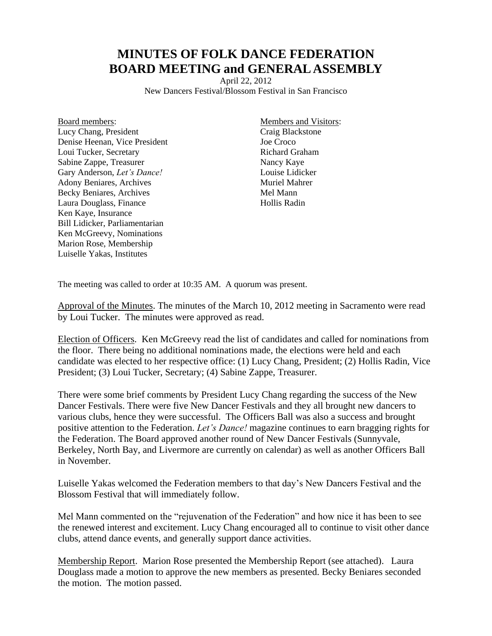## **MINUTES OF FOLK DANCE FEDERATION BOARD MEETING and GENERAL ASSEMBLY**

April 22, 2012 New Dancers Festival/Blossom Festival in San Francisco

Board members: Lucy Chang, President Denise Heenan, Vice President Loui Tucker, Secretary Sabine Zappe, Treasurer Gary Anderson, *Let's Dance!* Adony Beniares, Archives Becky Beniares, Archives Laura Douglass, Finance Ken Kaye, Insurance Bill Lidicker, Parliamentarian Ken McGreevy, Nominations Marion Rose, Membership Luiselle Yakas, Institutes

Members and Visitors: Craig Blackstone Joe Croco Richard Graham Nancy Kaye Louise Lidicker Muriel Mahrer Mel Mann Hollis Radin

The meeting was called to order at 10:35 AM. A quorum was present.

Approval of the Minutes. The minutes of the March 10, 2012 meeting in Sacramento were read by Loui Tucker. The minutes were approved as read.

Election of Officers. Ken McGreevy read the list of candidates and called for nominations from the floor. There being no additional nominations made, the elections were held and each candidate was elected to her respective office: (1) Lucy Chang, President; (2) Hollis Radin, Vice President; (3) Loui Tucker, Secretary; (4) Sabine Zappe, Treasurer.

There were some brief comments by President Lucy Chang regarding the success of the New Dancer Festivals. There were five New Dancer Festivals and they all brought new dancers to various clubs, hence they were successful. The Officers Ball was also a success and brought positive attention to the Federation. *Let's Dance!* magazine continues to earn bragging rights for the Federation. The Board approved another round of New Dancer Festivals (Sunnyvale, Berkeley, North Bay, and Livermore are currently on calendar) as well as another Officers Ball in November.

Luiselle Yakas welcomed the Federation members to that day's New Dancers Festival and the Blossom Festival that will immediately follow.

Mel Mann commented on the "rejuvenation of the Federation" and how nice it has been to see the renewed interest and excitement. Lucy Chang encouraged all to continue to visit other dance clubs, attend dance events, and generally support dance activities.

Membership Report. Marion Rose presented the Membership Report (see attached). Laura Douglass made a motion to approve the new members as presented. Becky Beniares seconded the motion. The motion passed.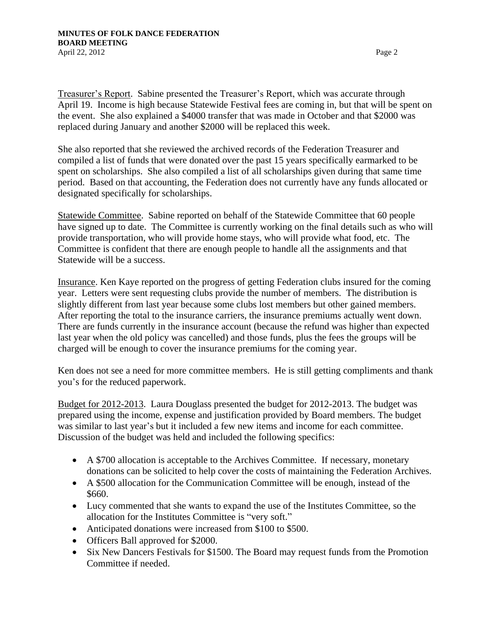Treasurer's Report. Sabine presented the Treasurer's Report, which was accurate through April 19. Income is high because Statewide Festival fees are coming in, but that will be spent on the event. She also explained a \$4000 transfer that was made in October and that \$2000 was replaced during January and another \$2000 will be replaced this week.

She also reported that she reviewed the archived records of the Federation Treasurer and compiled a list of funds that were donated over the past 15 years specifically earmarked to be spent on scholarships. She also compiled a list of all scholarships given during that same time period. Based on that accounting, the Federation does not currently have any funds allocated or designated specifically for scholarships.

Statewide Committee. Sabine reported on behalf of the Statewide Committee that 60 people have signed up to date. The Committee is currently working on the final details such as who will provide transportation, who will provide home stays, who will provide what food, etc. The Committee is confident that there are enough people to handle all the assignments and that Statewide will be a success.

Insurance. Ken Kaye reported on the progress of getting Federation clubs insured for the coming year. Letters were sent requesting clubs provide the number of members. The distribution is slightly different from last year because some clubs lost members but other gained members. After reporting the total to the insurance carriers, the insurance premiums actually went down. There are funds currently in the insurance account (because the refund was higher than expected last year when the old policy was cancelled) and those funds, plus the fees the groups will be charged will be enough to cover the insurance premiums for the coming year.

Ken does not see a need for more committee members. He is still getting compliments and thank you's for the reduced paperwork.

Budget for 2012-2013. Laura Douglass presented the budget for 2012-2013. The budget was prepared using the income, expense and justification provided by Board members. The budget was similar to last year's but it included a few new items and income for each committee. Discussion of the budget was held and included the following specifics:

- A \$700 allocation is acceptable to the Archives Committee. If necessary, monetary donations can be solicited to help cover the costs of maintaining the Federation Archives.
- A \$500 allocation for the Communication Committee will be enough, instead of the \$660.
- Lucy commented that she wants to expand the use of the Institutes Committee, so the allocation for the Institutes Committee is "very soft."
- Anticipated donations were increased from \$100 to \$500.
- Officers Ball approved for \$2000.
- Six New Dancers Festivals for \$1500. The Board may request funds from the Promotion Committee if needed.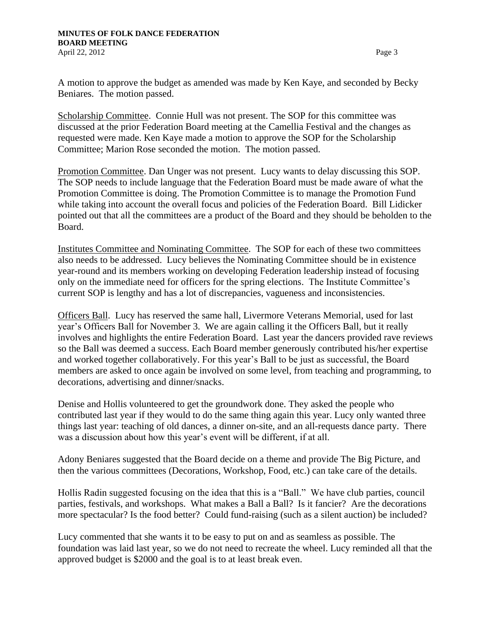A motion to approve the budget as amended was made by Ken Kaye, and seconded by Becky Beniares. The motion passed.

Scholarship Committee. Connie Hull was not present. The SOP for this committee was discussed at the prior Federation Board meeting at the Camellia Festival and the changes as requested were made. Ken Kaye made a motion to approve the SOP for the Scholarship Committee; Marion Rose seconded the motion. The motion passed.

Promotion Committee. Dan Unger was not present. Lucy wants to delay discussing this SOP. The SOP needs to include language that the Federation Board must be made aware of what the Promotion Committee is doing. The Promotion Committee is to manage the Promotion Fund while taking into account the overall focus and policies of the Federation Board. Bill Lidicker pointed out that all the committees are a product of the Board and they should be beholden to the Board.

Institutes Committee and Nominating Committee. The SOP for each of these two committees also needs to be addressed. Lucy believes the Nominating Committee should be in existence year-round and its members working on developing Federation leadership instead of focusing only on the immediate need for officers for the spring elections. The Institute Committee's current SOP is lengthy and has a lot of discrepancies, vagueness and inconsistencies.

Officers Ball. Lucy has reserved the same hall, Livermore Veterans Memorial, used for last year's Officers Ball for November 3. We are again calling it the Officers Ball, but it really involves and highlights the entire Federation Board. Last year the dancers provided rave reviews so the Ball was deemed a success. Each Board member generously contributed his/her expertise and worked together collaboratively. For this year's Ball to be just as successful, the Board members are asked to once again be involved on some level, from teaching and programming, to decorations, advertising and dinner/snacks.

Denise and Hollis volunteered to get the groundwork done. They asked the people who contributed last year if they would to do the same thing again this year. Lucy only wanted three things last year: teaching of old dances, a dinner on-site, and an all-requests dance party. There was a discussion about how this year's event will be different, if at all.

Adony Beniares suggested that the Board decide on a theme and provide The Big Picture, and then the various committees (Decorations, Workshop, Food, etc.) can take care of the details.

Hollis Radin suggested focusing on the idea that this is a "Ball." We have club parties, council parties, festivals, and workshops. What makes a Ball a Ball? Is it fancier? Are the decorations more spectacular? Is the food better? Could fund-raising (such as a silent auction) be included?

Lucy commented that she wants it to be easy to put on and as seamless as possible. The foundation was laid last year, so we do not need to recreate the wheel. Lucy reminded all that the approved budget is \$2000 and the goal is to at least break even.